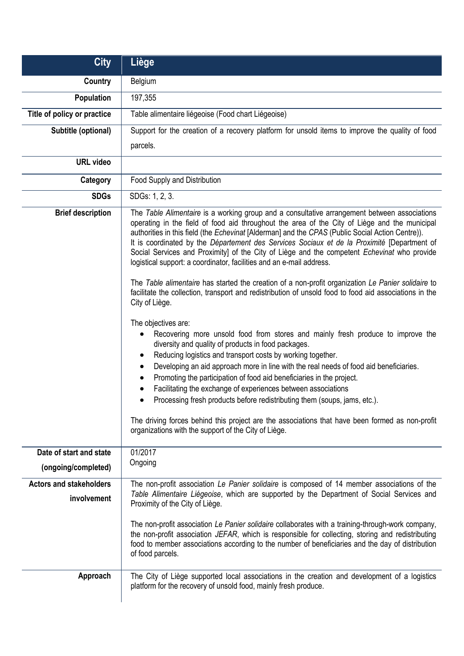| <b>City</b>                                    | Liège                                                                                                                                                                                                                                                                                                                                                                                                                                                                                                                                                                                                                                                                                                                                                                                                                                                                                                                                                                                                                                                                                                                                                                                                                                                                                                                                                                                                                                                                                                                                   |
|------------------------------------------------|-----------------------------------------------------------------------------------------------------------------------------------------------------------------------------------------------------------------------------------------------------------------------------------------------------------------------------------------------------------------------------------------------------------------------------------------------------------------------------------------------------------------------------------------------------------------------------------------------------------------------------------------------------------------------------------------------------------------------------------------------------------------------------------------------------------------------------------------------------------------------------------------------------------------------------------------------------------------------------------------------------------------------------------------------------------------------------------------------------------------------------------------------------------------------------------------------------------------------------------------------------------------------------------------------------------------------------------------------------------------------------------------------------------------------------------------------------------------------------------------------------------------------------------------|
| Country                                        | Belgium                                                                                                                                                                                                                                                                                                                                                                                                                                                                                                                                                                                                                                                                                                                                                                                                                                                                                                                                                                                                                                                                                                                                                                                                                                                                                                                                                                                                                                                                                                                                 |
| Population                                     | 197,355                                                                                                                                                                                                                                                                                                                                                                                                                                                                                                                                                                                                                                                                                                                                                                                                                                                                                                                                                                                                                                                                                                                                                                                                                                                                                                                                                                                                                                                                                                                                 |
| Title of policy or practice                    | Table alimentaire liégeoise (Food chart Liégeoise)                                                                                                                                                                                                                                                                                                                                                                                                                                                                                                                                                                                                                                                                                                                                                                                                                                                                                                                                                                                                                                                                                                                                                                                                                                                                                                                                                                                                                                                                                      |
| Subtitle (optional)                            | Support for the creation of a recovery platform for unsold items to improve the quality of food                                                                                                                                                                                                                                                                                                                                                                                                                                                                                                                                                                                                                                                                                                                                                                                                                                                                                                                                                                                                                                                                                                                                                                                                                                                                                                                                                                                                                                         |
|                                                | parcels.                                                                                                                                                                                                                                                                                                                                                                                                                                                                                                                                                                                                                                                                                                                                                                                                                                                                                                                                                                                                                                                                                                                                                                                                                                                                                                                                                                                                                                                                                                                                |
| <b>URL</b> video                               |                                                                                                                                                                                                                                                                                                                                                                                                                                                                                                                                                                                                                                                                                                                                                                                                                                                                                                                                                                                                                                                                                                                                                                                                                                                                                                                                                                                                                                                                                                                                         |
| Category                                       | Food Supply and Distribution                                                                                                                                                                                                                                                                                                                                                                                                                                                                                                                                                                                                                                                                                                                                                                                                                                                                                                                                                                                                                                                                                                                                                                                                                                                                                                                                                                                                                                                                                                            |
| <b>SDGs</b>                                    | SDGs: 1, 2, 3.                                                                                                                                                                                                                                                                                                                                                                                                                                                                                                                                                                                                                                                                                                                                                                                                                                                                                                                                                                                                                                                                                                                                                                                                                                                                                                                                                                                                                                                                                                                          |
| <b>Brief description</b>                       | The Table Alimentaire is a working group and a consultative arrangement between associations<br>operating in the field of food aid throughout the area of the City of Liège and the municipal<br>authorities in this field (the Echevinat [Alderman] and the CPAS (Public Social Action Centre)).<br>It is coordinated by the Département des Services Sociaux et de la Proximité [Department of<br>Social Services and Proximity] of the City of Liège and the competent Echevinat who provide<br>logistical support: a coordinator, facilities and an e-mail address.<br>The Table alimentaire has started the creation of a non-profit organization Le Panier solidaire to<br>facilitate the collection, transport and redistribution of unsold food to food aid associations in the<br>City of Liège.<br>The objectives are:<br>Recovering more unsold food from stores and mainly fresh produce to improve the<br>diversity and quality of products in food packages.<br>Reducing logistics and transport costs by working together.<br>Developing an aid approach more in line with the real needs of food aid beneficiaries.<br>٠<br>Promoting the participation of food aid beneficiaries in the project.<br>$\bullet$<br>Facilitating the exchange of experiences between associations<br>Processing fresh products before redistributing them (soups, jams, etc.).<br>The driving forces behind this project are the associations that have been formed as non-profit<br>organizations with the support of the City of Liège. |
| Date of start and state<br>(ongoing/completed) | 01/2017<br>Ongoing                                                                                                                                                                                                                                                                                                                                                                                                                                                                                                                                                                                                                                                                                                                                                                                                                                                                                                                                                                                                                                                                                                                                                                                                                                                                                                                                                                                                                                                                                                                      |
| <b>Actors and stakeholders</b><br>involvement  | The non-profit association Le Panier solidaire is composed of 14 member associations of the<br>Table Alimentaire Liégeoise, which are supported by the Department of Social Services and<br>Proximity of the City of Liège.<br>The non-profit association Le Panier solidaire collaborates with a training-through-work company,<br>the non-profit association JEFAR, which is responsible for collecting, storing and redistributing<br>food to member associations according to the number of beneficiaries and the day of distribution<br>of food parcels.                                                                                                                                                                                                                                                                                                                                                                                                                                                                                                                                                                                                                                                                                                                                                                                                                                                                                                                                                                           |
| Approach                                       | The City of Liège supported local associations in the creation and development of a logistics<br>platform for the recovery of unsold food, mainly fresh produce.                                                                                                                                                                                                                                                                                                                                                                                                                                                                                                                                                                                                                                                                                                                                                                                                                                                                                                                                                                                                                                                                                                                                                                                                                                                                                                                                                                        |